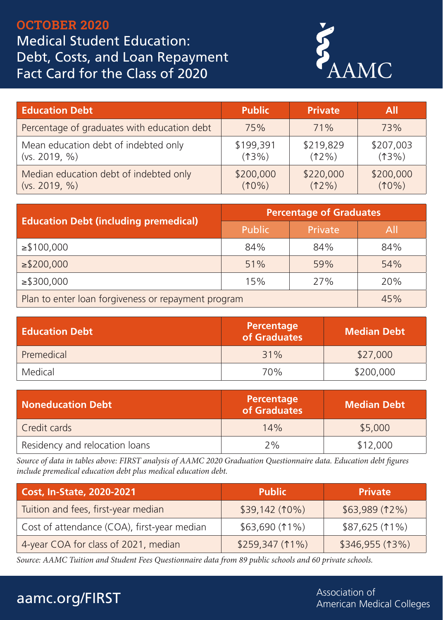## OCTOBER 2020 Medical Student Education: Debt, Costs, and Loan Repayment Fact Card for the Class of 2020



| <b>Education Debt</b>                       | <b>Public</b> | <b>Private</b> | All       |
|---------------------------------------------|---------------|----------------|-----------|
| Percentage of graduates with education debt | 75%           | 71%            | 73%       |
| Mean education debt of indebted only        | \$199,391     | \$219,829      | \$207,003 |
| (vs. 2019, %)                               | $(13\%)$      | $(12\%)$       | $(13\%)$  |
| Median education debt of indebted only      | \$200,000     | \$220,000      | \$200,000 |
| (vs. 2019, %)                               | $(10\%)$      | $(12\%)$       | $(10\%)$  |

| <b>Education Debt (including premedical)</b>        | <b>Percentage of Graduates</b> |         |            |
|-----------------------------------------------------|--------------------------------|---------|------------|
|                                                     | Public                         | Private | <b>All</b> |
| $\geq$ \$100,000                                    | 84%                            | 84%     | 84%        |
| $\geq$ \$200,000                                    | 51%                            | 59%     | 54%        |
| $\ge$ \$300,000                                     | 15%                            | 27%     | 20%        |
| Plan to enter loan forgiveness or repayment program |                                |         | 45%        |

| <b>Education Debt</b> | Percentage<br>of Graduates | <b>Median Debt</b> |  |
|-----------------------|----------------------------|--------------------|--|
| Premedical            | 31%                        | \$27,000           |  |
| Medical               | 70%                        | \$200,000          |  |

| Noneducation Debt              | Percentage<br>of Graduates | <b>Median Debt</b> |  |
|--------------------------------|----------------------------|--------------------|--|
| Credit cards                   | 14%                        | \$5,000            |  |
| Residency and relocation loans | 2%                         | \$12,000           |  |

*Source of data in tables above: FIRST analysis of AAMC 2020 Graduation Questionnaire data. Education debt figures include premedical education debt plus medical education debt.*

| Cost, In-State, 2020-2021                   | <b>Public</b>   | <b>Private</b>  |
|---------------------------------------------|-----------------|-----------------|
| Tuition and fees, first-year median         | $$39,142(10\%)$ | \$63,989(12%)   |
| Cost of attendance (COA), first-year median | \$63,690(11%)   | \$87,625 (11%)  |
| 4-year COA for class of 2021, median        | \$259,347(11%)  | \$346,955 (13%) |

*Source: AAMC Tuition and Student Fees Questionnaire data from 89 public schools and 60 private schools.*